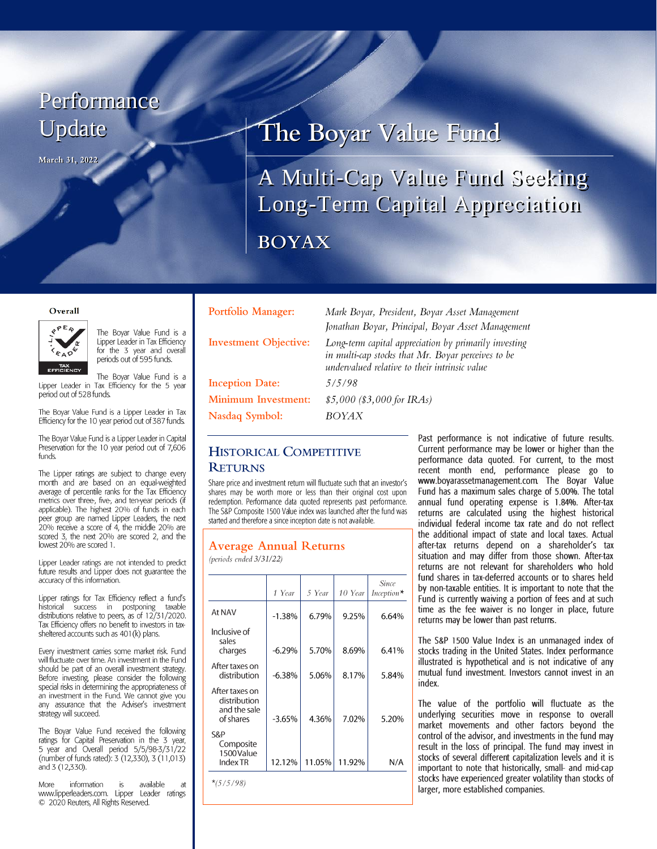# Performance Update

March 31, 2022

# The Boyar Value Fund

A Multi-Cap Value Fund Seeking Long-Term Capital Appreciation **BOYAX** 

#### Overall



The Boyar Value Fund is a Lipper Leader in Tax Efficiency for the 3 year and overall periods out of 595 funds.

The Boyar Value Fund is a Lipper Leader in Tax Efficiency for the 5 year period out of 528 funds.

The Boyar Value Fund is a Lipper Leader in Tax Efficiency for the 10 year period out of 387 funds.

The Boyar Value Fund is a Lipper Leader in Capital Preservation for the 10 year period out of 7,606 funds.

The Lipper ratings are subject to change every month and are based on an equal-weighted average of percentile ranks for the Tax Efficiency metrics over three, five, and ten-year periods (if applicable). The highest 20% of funds in each peer group are named Lipper Leaders, the next 20% receive a score of 4, the middle 20% are scored 3, the next 20% are scored 2, and the lowest 20% are scored 1.

Lipper Leader ratings are not intended to predict future results and Lipper does not guarantee the accuracy of this information.

Lipper ratings for Tax Efficiency reflect a fund's historical success in postponing taxable<br>distributions relative to peers, as of 12/31/2020. Tax Efficiency offers no benefit to investors in taxsheltered accounts such as 401(k) plans.

Every investment carries some market risk. Fund will fluctuate over time. An investment in the Fund should be part of an overall investment strategy. Before investing, please consider the following special risks in determining the appropriateness of an investment in the Fund. We cannot give you any assurance that the Adviser's investment strategy will succeed.

The Boyar Value Fund received the following ratings for Capital Preservation in the 3 year, 5 year and Overall period 5/5/98-3/31/22 (number of funds rated): 3 (12,330), 3 (11,013) and 3 (12,330).

information available More  $is$ at www.lipperleaders.com. Lipper Leader ratings © 2020 Reuters, All Rights Reserved.

|  |  | Portfolio Manager: |
|--|--|--------------------|
|  |  |                    |

**Investment Objective:** 

**Inception Date: Minimum Investment:** Nasdaq Symbol:

Mark Boyar, President, Boyar Asset Management Jonathan Boyar, Principal, Boyar Asset Management Long-term capital appreciation by primarily investing in multi-cap stocks that Mr. Boyar perceives to be undervalued relative to their intrinsic value

 $5/5/98$ 

**BOYAX** 

 $$5,000$  (\$3,000 for IRAs)

## **HISTORICAL COMPETITIVE RETURNS**

Share price and investment return will fluctuate such that an investor's shares may be worth more or less than their original cost upon redemption. Performance data quoted represents past performance. The S&P Composite 1500 Value index was launched after the fund was started and therefore a since inception date is not available.

## **Average Annual Returns**

(periods ended 3/31/22)

|                                                             | 1 Year   | 5 Year | 10 Year | Since<br>Inception $*$ |
|-------------------------------------------------------------|----------|--------|---------|------------------------|
| At NAV                                                      | $-1.38%$ | 6.79%  | 9.25%   | 6.64%                  |
| Inclusive of<br>sales<br>charges                            | $-6.29%$ | 5.70%  | 8.69%   | 6.41%                  |
| After taxes on<br>distribution                              | $-6.38%$ | 5.06%  | 8.17%   | 5.84%                  |
| After taxes on<br>distribution<br>and the sale<br>of shares | $-3.65%$ | 4.36%  | 7.02%   | 5.20%                  |
| S&P<br>Composite<br>1500 Value<br>Index TR                  | 12.12%   | 11.05% | 11.92%  | N/A                    |

Past performance is not indicative of future results. Current performance may be lower or higher than the performance data quoted. For current, to the most recent month end, performance please go to www.boyarassetmanagement.com. The Boyar Value Fund has a maximum sales charge of 5.00%. The total annual fund operating expense is 1.84%. After-tax returns are calculated using the highest historical individual federal income tax rate and do not reflect the additional impact of state and local taxes. Actual after-tax returns depend on a shareholder's tax situation and may differ from those shown. After-tax returns are not relevant for shareholders who hold fund shares in tax-deferred accounts or to shares held by non-taxable entities. It is important to note that the Fund is currently waiving a portion of fees and at such time as the fee waiver is no longer in place, future returns may be lower than past returns.

The S&P 1500 Value Index is an unmanaged index of stocks trading in the United States. Index performance illustrated is hypothetical and is not indicative of any mutual fund investment. Investors cannot invest in an index

The value of the portfolio will fluctuate as the underlying securities move in response to overall market movements and other factors beyond the control of the advisor, and investments in the fund may result in the loss of principal. The fund may invest in stocks of several different capitalization levels and it is important to note that historically, small- and mid-cap stocks have experienced greater volatility than stocks of larger, more established companies.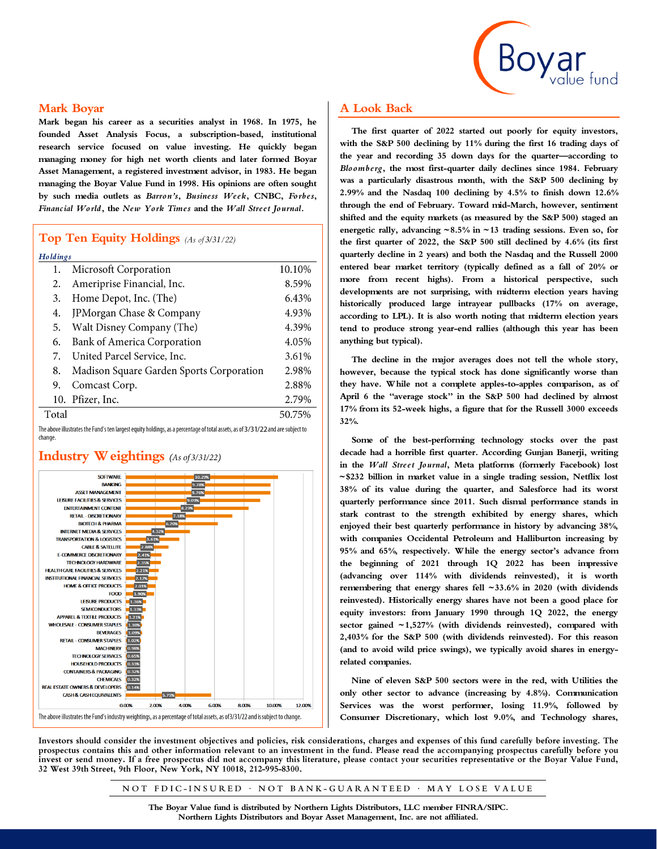

### **Mark Boyar**

**Mark began his career as a securities analyst in 1968. In 1975, he founded Asset Analysis Focus, a subscription-based, institutional research service focused on value investing. He quickly began managing money for high net worth clients and later formed Boyar Asset Management, a registered investment advisor, in 1983. He began managing the Boyar Value Fund in 1998. His opinions are often sought by such media outlets as** *Barron's***,** *Business Week***, CNBC,** *Forbes***,**  *Financial World***, the** *New York Times* **and the** *Wall Street Journal***.**

## **Top Ten Equity Holdings** (As of 3/31/22)

| Holdings |                                          |        |  |  |
|----------|------------------------------------------|--------|--|--|
| 1.       | Microsoft Corporation                    | 10.10% |  |  |
| 2.       | Ameriprise Financial, Inc.               | 8.59%  |  |  |
| 3.       | Home Depot, Inc. (The)                   | 6.43%  |  |  |
| 4.       | JPMorgan Chase & Company                 | 4.93%  |  |  |
| 5.       | Walt Disney Company (The)                | 4.39%  |  |  |
| 6.       | Bank of America Corporation              | 4.05%  |  |  |
| 7.       | United Parcel Service, Inc.              | 3.61%  |  |  |
| 8.       | Madison Square Garden Sports Corporation | 2.98%  |  |  |
| 9.       | Comcast Corp.                            | 2.88%  |  |  |
| 10.      | Pfizer, Inc.                             | 2.79%  |  |  |
| Total    |                                          | 50.75% |  |  |

The above illustrates the Fund's ten largest equity holdings, as a percentage of total assets, as of 3/31/22 and are subject to change.



## **Industry Weightings** (As of 3/31/22)

## **A Look Back**

**The first quarter of 2022 started out poorly for equity investors, with the S&P 500 declining by 11% during the first 16 trading days of the year and recording 35 down days for the quarter—according to**  *Bloomberg***, the most first-quarter daily declines since 1984. February was a particularly disastrous month, with the S&P 500 declining by 2.99% and the Nasdaq 100 declining by 4.5% to finish down 12.6% through the end of February. Toward mid-March, however, sentiment shifted and the equity markets (as measured by the S&P 500) staged an energetic rally, advancing ~8.5% in ~13 trading sessions. Even so, for the first quarter of 2022, the S&P 500 still declined by 4.6% (its first quarterly decline in 2 years) and both the Nasdaq and the Russell 2000 entered bear market territory (typically defined as a fall of 20% or more from recent highs). From a historical perspective, such developments are not surprising, with midterm election years having historically produced large intrayear pullbacks (17% on average, according to LPL). It is also worth noting that midterm election years tend to produce strong year-end rallies (although this year has been anything but typical).**

**The decline in the major averages does not tell the whole story, however, because the typical stock has done significantly worse than they have. While not a complete apples-to-apples comparison, as of April 6 the "average stock" in the S&P 500 had declined by almost 17% from its 52-week highs, a figure that for the Russell 3000 exceeds 32%.**

**Some of the best-performing technology stocks over the past decade had a horrible first quarter. According Gunjan Banerji, writing in the** *Wall Street Journal***, Meta platforms (formerly Facebook) lost ~\$232 billion in market value in a single trading session, Netflix lost 38% of its value during the quarter, and Salesforce had its worst quarterly performance since 2011. Such dismal performance stands in stark contrast to the strength exhibited by energy shares, which enjoyed their best quarterly performance in history by advancing 38%, with companies Occidental Petroleum and Halliburton increasing by 95% and 65%, respectively. While the energy sector's advance from the beginning of 2021 through 1Q 2022 has been impressive (advancing over 114% with dividends reinvested), it is worth remembering that energy shares fell ~33.6% in 2020 (with dividends reinvested). Historically energy shares have not been a good place for equity investors: from January 1990 through 1Q 2022, the energy sector gained ~1,527% (with dividends reinvested), compared with 2,403% for the S&P 500 (with dividends reinvested). For this reason (and to avoid wild price swings), we typically avoid shares in energyrelated companies.**

**Nine of eleven S&P 500 sectors were in the red, with Utilities the only other sector to advance (increasing by 4.8%). Communication Services was the worst performer, losing 11.9%, followed by Consumer Discretionary, which lost 9.0%, and Technology shares,** 

Investors should consider the investment objectives and policies, risk considerations, charges and expenses of this fund carefully before investing. The prospectus contains this and other information relevant to an investment in the fund. Please read the accompanying prospectus carefully before you invest or send money. If a free prospectus did not accompany this literature, please contact your securities representative or the Boyar Value Fund, 32 West 39th Street, 9th Floor, New York, NY 10018, 212-995-8300.

NOT FDIC-INSURED · NOT BANK-GUARANTEED · MAY LOSE VALUE

**The Boyar Value fund is distributed by Northern Lights Distributors, LLC member FINRA/SIPC. Northern Lights Distributors and Boyar Asset Management, Inc. are not affiliated.**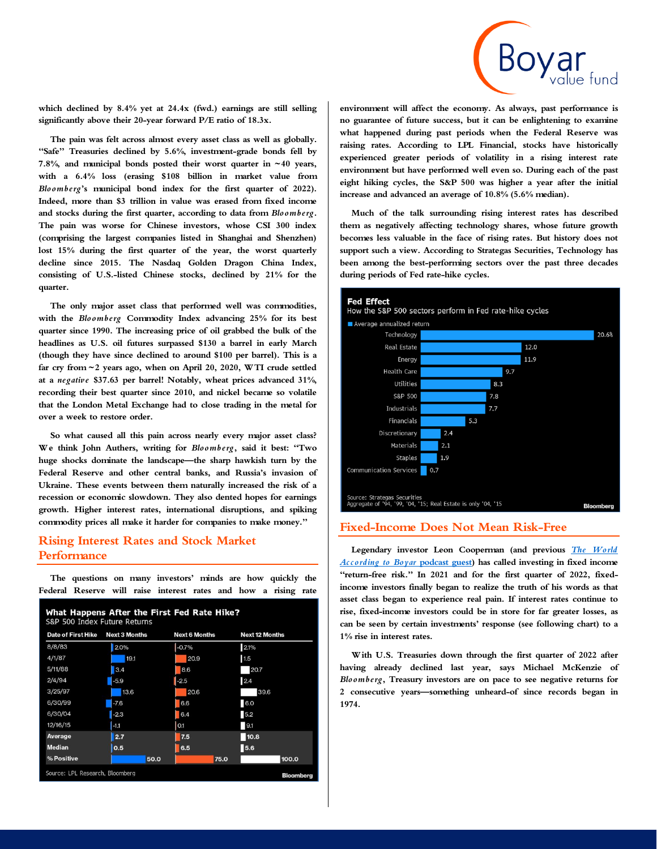

**which declined by 8.4% yet at 24.4x (fwd.) earnings are still selling significantly above their 20-year forward P/E ratio of 18.3x.**

**The pain was felt across almost every asset class as well as globally. "Safe" Treasuries declined by 5.6%, investment-grade bonds fell by 7.8%, and municipal bonds posted their worst quarter in ~40 years, with a 6.4% loss (erasing \$108 billion in market value from**  *Bloomberg***'s municipal bond index for the first quarter of 2022). Indeed, more than \$3 trillion in value was erased from fixed income and stocks during the first quarter, according to data from** *Bloomberg***. The pain was worse for Chinese investors, whose CSI 300 index (comprising the largest companies listed in Shanghai and Shenzhen) lost 15% during the first quarter of the year, the worst quarterly decline since 2015. The Nasdaq Golden Dragon China Index, consisting of U.S.-listed Chinese stocks, declined by 21% for the quarter.**

**The only major asset class that performed well was commodities, with the** *Bloomberg* **Commodity Index advancing 25% for its best quarter since 1990. The increasing price of oil grabbed the bulk of the headlines as U.S. oil futures surpassed \$130 a barrel in early March (though they have since declined to around \$100 per barrel). This is a far cry from ~2 years ago, when on April 20, 2020, WTI crude settled at a** *negative* **\$37.63 per barrel! Notably, wheat prices advanced 31%, recording their best quarter since 2010, and nickel became so volatile that the London Metal Exchange had to close trading in the metal for over a week to restore order.**

**So what caused all this pain across nearly every major asset class? We think John Authers, writing for** *Bloomberg***, said it best: "Two huge shocks dominate the landscape—the sharp hawkish turn by the Federal Reserve and other central banks, and Russia's invasion of Ukraine. These events between them naturally increased the risk of a recession or economic slowdown. They also dented hopes for earnings growth. Higher interest rates, international disruptions, and spiking commodity prices all make it harder for companies to make money."**

## **Rising Interest Rates and Stock Market Performance**

**The questions on many investors' minds are how quickly the Federal Reserve will raise interest rates and how a rising rate** 

| What Happens After the First Fed Rate Hike?<br>S&P 500 Index Future Returns |        |      |                      |      |                       |       |  |
|-----------------------------------------------------------------------------|--------|------|----------------------|------|-----------------------|-------|--|
| Date of First Hike<br><b>Next 3 Months</b>                                  |        |      | <b>Next 6 Months</b> |      | <b>Next 12 Months</b> |       |  |
| 8/8/83                                                                      | 2.0%   |      | $-0.7%$              |      | 2.1%                  |       |  |
| 4/1/87                                                                      | 19.1   |      | 20.9                 |      | 1.5                   |       |  |
| 5/11/88                                                                     | 3.4    |      | 8.6                  |      | 20.7                  |       |  |
| 2/4/94                                                                      | $-5.9$ |      | $-2.5$               |      | 2.4                   |       |  |
| 3/25/97                                                                     | 13.6   |      | 20.6                 |      | 39.6                  |       |  |
| 6/30/99                                                                     | $-7.6$ |      | 6.6                  |      | 6.0                   |       |  |
| 6/30/04                                                                     | $-2.3$ |      | 6.4                  |      | 5.2                   |       |  |
| 12/16/15                                                                    | $-1.1$ |      | 0.1                  |      | 9.1                   |       |  |
| Average                                                                     | 2.7    |      | 7.5                  |      | 10.8                  |       |  |
| <b>Median</b>                                                               | 0.5    |      | 6.5                  |      | 5.6                   |       |  |
| % Positive                                                                  |        | 50.0 |                      | 75.0 |                       | 100.0 |  |
| Source: LPL Research, Bloomberg<br><b>Bloomberg</b>                         |        |      |                      |      |                       |       |  |

**environment will affect the economy. As always, past performance is no guarantee of future success, but it can be enlightening to examine what happened during past periods when the Federal Reserve was raising rates. According to LPL Financial, stocks have historically experienced greater periods of volatility in a rising interest rate environment but have performed well even so. During each of the past eight hiking cycles, the S&P 500 was higher a year after the initial increase and advanced an average of 10.8% (5.6% median).**

**Much of the talk surrounding rising interest rates has described them as negatively affecting technology shares, whose future growth becomes less valuable in the face of rising rates. But history does not support such a view. According to Strategas Securities, Technology has been among the best-performing sectors over the past three decades during periods of Fed rate-hike cycles.**



### **Fixed-Income Does Not Mean Risk-Free**

**Legendary investor Leon Cooperman (and previous** *[The World](https://www.boyarvaluegroup.com/podcasts/legendary-investor-leon-cooperman-on-asset-allocations-interest-rates-berkshire-hathaway-and-where-he-is-currently-finding-value-in-the-stock-market/)  [According to Boyar](https://www.boyarvaluegroup.com/podcasts/legendary-investor-leon-cooperman-on-asset-allocations-interest-rates-berkshire-hathaway-and-where-he-is-currently-finding-value-in-the-stock-market/)* **podcast guest) has called investing in fixed income**  "return-free risk." In 2021 and for the first quarter of 2022, fixed**income investors finally began to realize the truth of his words as that asset class began to experience real pain. If interest rates continue to rise, fixed-income investors could be in store for far greater losses, as can be seen by certain investments' response (see following chart) to a 1% rise in interest rates.**

**With U.S. Treasuries down through the first quarter of 2022 after having already declined last year, says Michael McKenzie of**  *Bloomberg***, Treasury investors are on pace to see negative returns for 2 consecutive years—something unheard-of since records began in 1974.**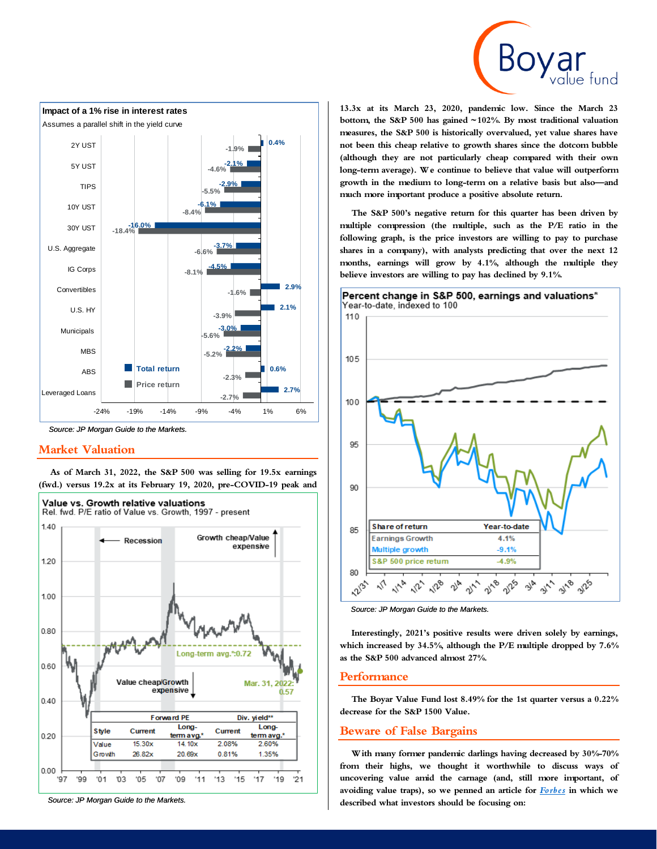



*Source: JP Morgan Guide to the Markets.*

#### **Market Valuation**





*Source: JP Morgan Guide to the Markets.*

**13.3x at its March 23, 2020, pandemic low. Since the March 23 bottom, the S&P 500 has gained ~102%. By most traditional valuation measures, the S&P 500 is historically overvalued, yet value shares have not been this cheap relative to growth shares since the dotcom bubble (although they are not particularly cheap compared with their own long-term average). We continue to believe that value will outperform growth in the medium to long-term on a relative basis but also—and much more important produce a positive absolute return.**

**The S&P 500's negative return for this quarter has been driven by multiple compression (the multiple, such as the P/E ratio in the following graph, is the price investors are willing to pay to purchase shares in a company), with analysts predicting that over the next 12 months, earnings will grow by 4.1%, although the multiple they believe investors are willing to pay has declined by 9.1%.**



*Source: JP Morgan Guide to the Markets.*

**Interestingly, 2021's positive results were driven solely by earnings, which increased by 34.5%, although the P/E multiple dropped by 7.6% as the S&P 500 advanced almost 27%.**

#### **Performance**

**The Boyar Value Fund lost 8.49% for the 1st quarter versus a 0.22% decrease for the S&P 1500 Value.**

### **Beware of False Bargains**

**With many former pandemic darlings having decreased by 30%-70% from their highs, we thought it worthwhile to discuss ways of uncovering value amid the carnage (and, still more important, of avoiding value traps), so we penned an article for** *[Forbes](https://www.forbes.com/sites/jonathanboyar/?sh=c50a7144561e)* **in which we described what investors should be focusing on:**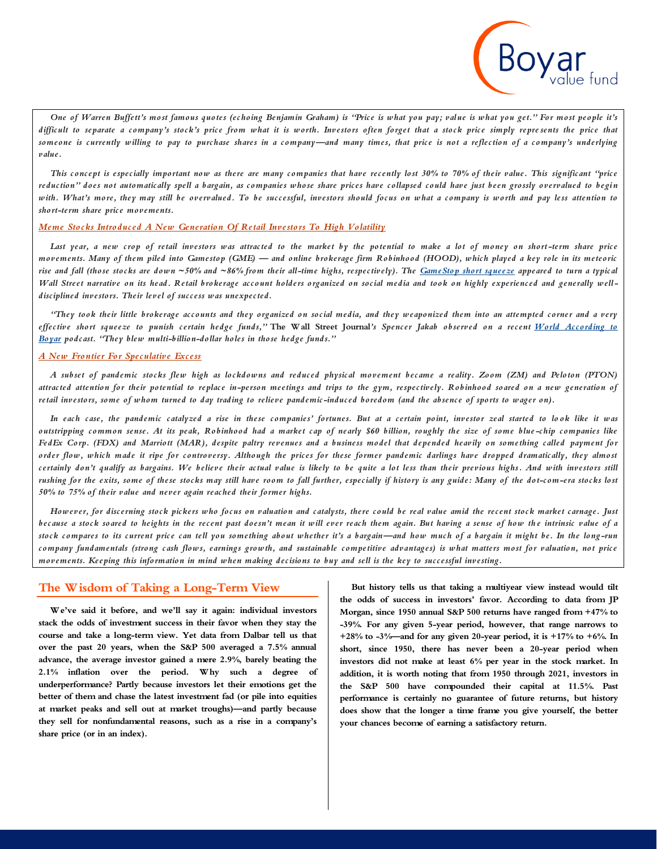*One of Warren Buffett's most famous quotes (echoing Benjamin Graham) is "Price is what you pay; value is what you get." For most people it's difficult to separate a company's stock's price from what it is worth. Investors often forget that a stock price simply repre sents the price that someone is currently willing to pay to purchase shares in a company—and many times, that price is not a reflection of a company's underlying value.*

*This concept is especially important now as there are many companies that have recently lost 30% to 70% of their value. This significant "price reduction" does not automatically spell a bargain, as companies whose share prices have collapsed could have just been grossly overvalued to begin with. What's more, they may still be overvalued. To be successful, investors should focus on what a company is worth and pay less attention to short-term share price movements.*

#### *Meme Stocks Introduced A New Generation Of Retail Investors To High Volatility*

*Last year, a new crop of retail investors was attracted to the market by the potential to make a lot of money on short -term share price movements. Many of them piled into Gamestop (GME) — and online brokerage firm Robinhood (HOOD), which played a key role in its meteoric rise and fall (those stocks are down ~50% and ~86% from their all-time highs, respectively). The [GameStop short squeeze](https://www.wsj.com/articles/gamestop-stock-short-squeeze-ugly-side-11611750250) appeared to turn a typical Wall Street narrative on its head. Retail brokerage account holders organized on social media and took on highly experienced and generally welldisciplined investors. Their level of success was unexpected.*

*"They took their little brokerage accounts and they organized on social media, and they weaponized them into an attempted corner and a very effective short squeeze to punish certain hedge funds,"* **The Wall Street Journal***'s Spencer Jakab observed on a recent [World According to](https://www.boyarvaluegroup.com/podcasts/4020/)  [Boyar](https://www.boyarvaluegroup.com/podcasts/4020/) podcast. "They blew multi-billion-dollar holes in those hedge funds."*

#### *A New Frontier For Speculative Excess*

*A subset of pandemic stocks flew high as lockdowns and reduced physical movement became a reality. Zoom (ZM) and Peloton (PTON) attracted attention for their potential to replace in-person meetings and trips to the gym, respectively. Robinhood soared on a new generation of*  retail investors, some of whom turned to day trading to relieve pandemic-induced boredom (and the absence of sports to wager on).

*In each case, the pandemic catalyzed a rise in these companies' fortunes. But at a certain point, investor zeal started to lo ok like it was outstripping common sense. At its peak, Robinhood had a market cap of nearly \$60 billion, roughly the size of some blue -chip companies like FedEx Corp. (FDX) and Marriott (MAR), despite paltry revenues and a business model that depended heavily on something called payment for order flow, which made it ripe for controversy. Although the prices for these former pandemic darlings have dropped dramatically, they almost certainly don't qualify as bargains. We believe their actual value is likely to be quite a lot less than their previous highs. And with investors still rushing for the exits, some of these stocks may still have room to fall further, especially if history is any guide: Many of the dot-com-era stocks lost 50% to 75% of their value and never again reached their former highs.*

*However, for discerning stock pickers who focus on valuation and catalysts, there could be real value amid the recent stock market carnage. Just because a stock soared to heights in the recent past doesn't mean it will ever reach them again. But having a sense of how the intrinsic value of a stock compares to its current price can tell you something about whether it's a bargain—and how much of a bargain it might be. In the long -run company fundamentals (strong cash flows, earnings growth, and sustainable competitive advantages) is what matters most for valuation, not price movements. Keeping this information in mind when making decisions to buy and sell is the key to successful investing.*

#### **The Wisdom of Taking a Long-Term View**

**We've said it before, and we'll say it again: individual investors stack the odds of investment success in their favor when they stay the course and take a long-term view. Yet data from Dalbar tell us that over the past 20 years, when the S&P 500 averaged a 7.5% annual advance, the average investor gained a mere 2.9%, barely beating the 2.1% inflation over the period. Why such a degree of underperformance? Partly because investors let their emotions get the better of them and chase the latest investment fad (or pile into equities at market peaks and sell out at market troughs)—and partly because they sell for nonfundamental reasons, such as a rise in a company's share price (or in an index).**

**But history tells us that taking a multiyear view instead would tilt the odds of success in investors' favor. According to data from JP Morgan, since 1950 annual S&P 500 returns have ranged from +47% to -39%. For any given 5-year period, however, that range narrows to +28% to -3%—and for any given 20-year period, it is +17% to +6%. In short, since 1950, there has never been a 20-year period when investors did not make at least 6% per year in the stock market. In addition, it is worth noting that from 1950 through 2021, investors in the S&P 500 have compounded their capital at 11.5%. Past performance is certainly no guarantee of future returns, but history does show that the longer a time frame you give yourself, the better your chances become of earning a satisfactory return.**